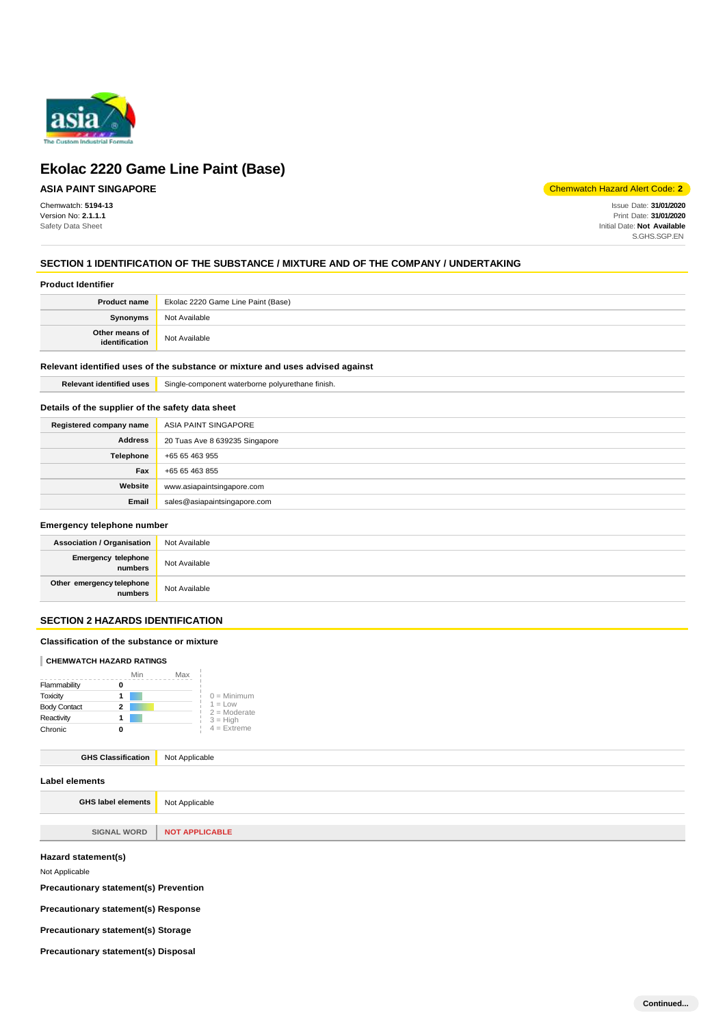

## **ASIA PAINT SINGAPORE**

Chemwatch: **5194-13** Version No: **2.1.1.1** Safety Data Sheet

Chemwatch Hazard Alert Code: **2**

Issue Date: **31/01/2020** Print Date: **31/01/2020** Initial Date: **Not Available** S.GHS.SGP.EN

## **SECTION 1 IDENTIFICATION OF THE SUBSTANCE / MIXTURE AND OF THE COMPANY / UNDERTAKING**

### **Product Identifier**

| <b>Product name</b>              | Ekolac 2220 Game Line Paint (Base) |
|----------------------------------|------------------------------------|
| <b>Synonyms</b>                  | Not Available                      |
| Other means of<br>identification | Not Available                      |

### **Relevant identified uses of the substance or mixture and uses advised against**

**Relevant identified uses** Single-component waterborne polyurethane finish.

### **Details of the supplier of the safety data sheet**

| Registered company name | ASIA PAINT SINGAPORE           |
|-------------------------|--------------------------------|
| <b>Address</b>          | 20 Tuas Ave 8 639235 Singapore |
| Telephone               | +65 65 463 955                 |
| Fax                     | +65 65 463 855                 |
| Website                 | www.asiapaintsingapore.com     |
| Email                   | sales@asiapaintsingapore.com   |

## **Emergency telephone number**

| Association / Organisation           | Not Available |
|--------------------------------------|---------------|
| Emergency telephone<br>numbers       | Not Available |
| Other emergency telephone<br>numbers | Not Available |

## **SECTION 2 HAZARDS IDENTIFICATION**

### **Classification of the substance or mixture**

### **CHEMWATCH HAZARD RATINGS**

|                     | Min | Max |                             |
|---------------------|-----|-----|-----------------------------|
| Flammability        |     |     |                             |
| Toxicity            |     |     | $0 =$ Minimum               |
| <b>Body Contact</b> | 2   |     | $1 = Low$<br>$2 =$ Moderate |
| Reactivity          |     |     | $3 = High$                  |
| Chronic             |     |     | $4$ = Extreme               |

## **GHS Classification** Not Applicable

| Label elements                           |                       |
|------------------------------------------|-----------------------|
| <b>GHS label elements</b> Not Applicable |                       |
|                                          |                       |
| <b>SIGNAL WORD</b>                       | <b>NOT APPLICABLE</b> |
| Hazard statement(s)                      |                       |

Not Applicable

**Precautionary statement(s) Prevention** 

**Precautionary statement(s) Response** 

**Precautionary statement(s) Storage** 

**Precautionary statement(s) Disposal**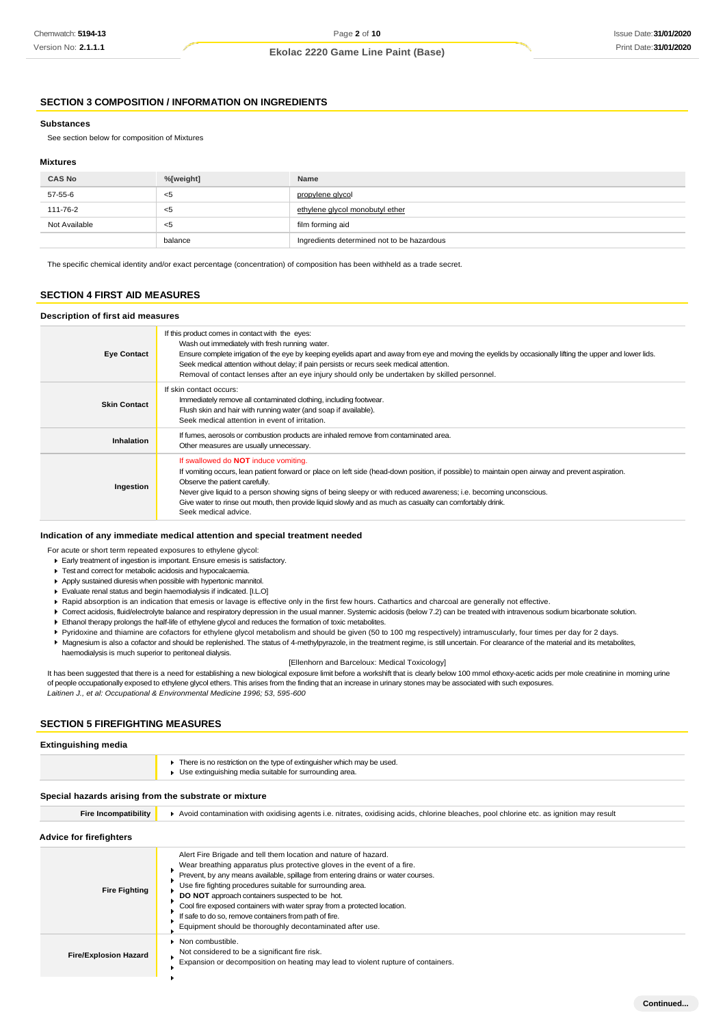## **SECTION 3 COMPOSITION / INFORMATION ON INGREDIENTS**

#### **Substances**

See section below for composition of Mixtures

#### **Mixtures**

| <b>CAS No</b> | %[weight] | Name                                       |
|---------------|-----------|--------------------------------------------|
| 57-55-6       | <5        | propylene glycol                           |
| 111-76-2      | <5        | ethylene glycol monobutyl ether            |
| Not Available | <5        | film forming aid                           |
|               | balance   | Ingredients determined not to be hazardous |

The specific chemical identity and/or exact percentage (concentration) of composition has been withheld as a trade secret.

### **SECTION 4 FIRST AID MEASURES**

### **Description of first aid measures**

| <b>Eye Contact</b>  | If this product comes in contact with the eyes:<br>Wash out immediately with fresh running water.<br>Ensure complete irrigation of the eye by keeping eyelids apart and away from eye and moving the eyelids by occasionally lifting the upper and lower lids.<br>Seek medical attention without delay; if pain persists or recurs seek medical attention.<br>Removal of contact lenses after an eye injury should only be undertaken by skilled personnel.                                |
|---------------------|--------------------------------------------------------------------------------------------------------------------------------------------------------------------------------------------------------------------------------------------------------------------------------------------------------------------------------------------------------------------------------------------------------------------------------------------------------------------------------------------|
| <b>Skin Contact</b> | If skin contact occurs:<br>Immediately remove all contaminated clothing, including footwear.<br>Flush skin and hair with running water (and soap if available).<br>Seek medical attention in event of irritation.                                                                                                                                                                                                                                                                          |
| Inhalation          | If fumes, aerosols or combustion products are inhaled remove from contaminated area.<br>Other measures are usually unnecessary.                                                                                                                                                                                                                                                                                                                                                            |
| Ingestion           | If swallowed do <b>NOT</b> induce vomiting.<br>If vomiting occurs, lean patient forward or place on left side (head-down position, if possible) to maintain open airway and prevent aspiration.<br>Observe the patient carefully.<br>Never give liquid to a person showing signs of being sleepy or with reduced awareness; i.e. becoming unconscious.<br>Give water to rinse out mouth, then provide liquid slowly and as much as casualty can comfortably drink.<br>Seek medical advice. |

### **Indication of any immediate medical attention and special treatment needed**

For acute or short term repeated exposures to ethylene glycol:

- Early treatment of ingestion is important. Ensure emesis is satisfactory.
- Test and correct for metabolic acidosis and hypocalcaemia.
- Apply sustained diuresis when possible with hypertonic mannitol.
- Evaluate renal status and begin haemodialysis if indicated. [I.L.O]
- Rapid absorption is an indication that emesis or lavage is effective only in the first few hours. Cathartics and charcoal are generally not effective.
- ▶ Correct acidosis, fluid/electrolyte balance and respiratory depression in the usual manner. Systemic acidosis (below 7.2) can be treated with intravenous sodium bicarbonate solution. Ethanol therapy prolongs the half-life of ethylene glycol and reduces the formation of toxic metabolites.
- 
- Pyridoxine and thiamine are cofactors for ethylene glycol metabolism and should be given (50 to 100 mg respectively) intramuscularly, four times per day for 2 days. Magnesium is also a cofactor and should be replenished. The status of 4-methylpyrazole, in the treatment regime, is still uncertain. For clearance of the material and its metabolites,
- haemodialysis is much superior to peritoneal dialysis.

#### [Ellenhorn and Barceloux: Medical Toxicology]

It has been suggested that there is a need for establishing a new biological exposure limit before a workshift that is clearly below 100 mmol ethoxy-acetic acids per mole creatinine in morning urine of people occupationally exposed to ethylene glycol ethers. This arises from the finding that an increase in urinary stones may be associated with such exposures. *Laitinen J., et al: Occupational & Environmental Medicine 1996; 53, 595-600*

### **SECTION 5 FIREFIGHTING MEASURES**

### **Extinguishing media**

| There is no restriction on the type of extinguisher which may be used. |
|------------------------------------------------------------------------|
| Use extinguishing media suitable for surrounding area.                 |

#### **Special hazards arising from the substrate or mixture**

| <b>Fire Incompatibility</b>  | Avoid contamination with oxidising agents i.e. nitrates, oxidising acids, chlorine bleaches, pool chlorine etc. as ignition may result                                                                                                                                                                                                                                                                                                                                                                                                             |  |
|------------------------------|----------------------------------------------------------------------------------------------------------------------------------------------------------------------------------------------------------------------------------------------------------------------------------------------------------------------------------------------------------------------------------------------------------------------------------------------------------------------------------------------------------------------------------------------------|--|
| Advice for firefighters      |                                                                                                                                                                                                                                                                                                                                                                                                                                                                                                                                                    |  |
| <b>Fire Fighting</b>         | Alert Fire Brigade and tell them location and nature of hazard.<br>Wear breathing apparatus plus protective gloves in the event of a fire.<br>Prevent, by any means available, spillage from entering drains or water courses.<br>Use fire fighting procedures suitable for surrounding area.<br>DO NOT approach containers suspected to be hot.<br>Cool fire exposed containers with water spray from a protected location.<br>If safe to do so, remove containers from path of fire.<br>Equipment should be thoroughly decontaminated after use. |  |
| <b>Fire/Explosion Hazard</b> | • Non combustible.<br>Not considered to be a significant fire risk.<br>Expansion or decomposition on heating may lead to violent rupture of containers.                                                                                                                                                                                                                                                                                                                                                                                            |  |
|                              |                                                                                                                                                                                                                                                                                                                                                                                                                                                                                                                                                    |  |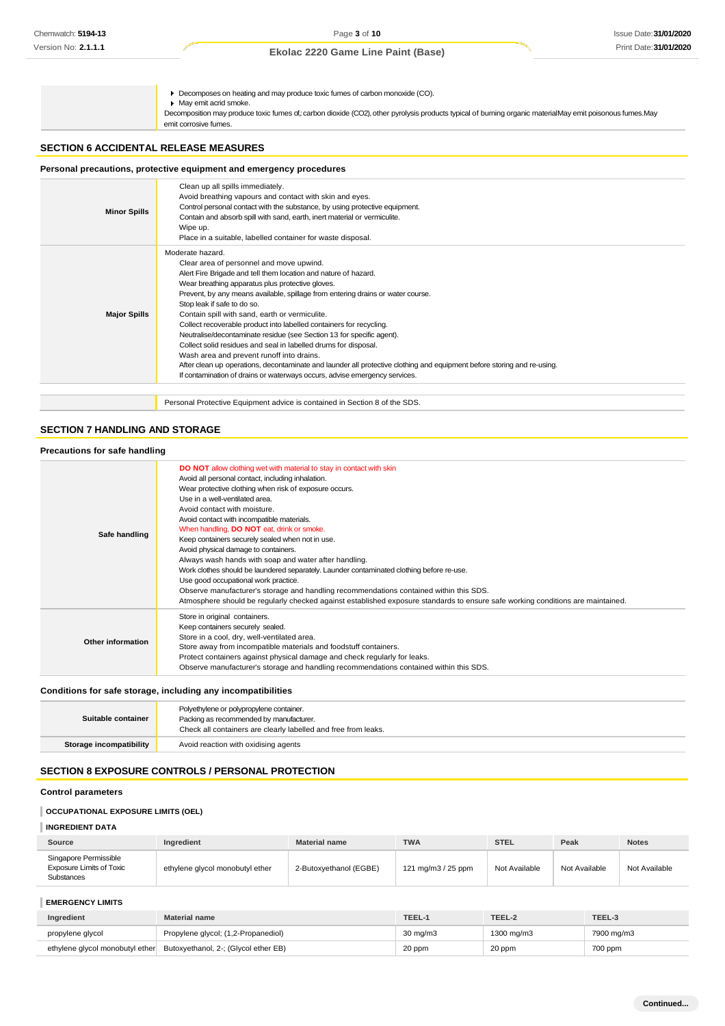Decomposes on heating and may produce toxic fumes of carbon monoxide (CO). May emit acrid smoke.

Decomposition may produce toxic fumes of,: carbon dioxide (CO2), other pyrolysis products typical of burning organic materialMay emit poisonous fumes.May emit corrosive fumes.

### **SECTION 6 ACCIDENTAL RELEASE MEASURES**

## **Personal precautions, protective equipment and emergency procedures**

| <b>Minor Spills</b> | Clean up all spills immediately.<br>Avoid breathing vapours and contact with skin and eyes.<br>Control personal contact with the substance, by using protective equipment.<br>Contain and absorb spill with sand, earth, inert material or vermiculite.<br>Wipe up.<br>Place in a suitable, labelled container for waste disposal.                                                                                                                                                                                                                                                                                                                                                                                                                                                                                               |
|---------------------|----------------------------------------------------------------------------------------------------------------------------------------------------------------------------------------------------------------------------------------------------------------------------------------------------------------------------------------------------------------------------------------------------------------------------------------------------------------------------------------------------------------------------------------------------------------------------------------------------------------------------------------------------------------------------------------------------------------------------------------------------------------------------------------------------------------------------------|
| <b>Major Spills</b> | Moderate hazard.<br>Clear area of personnel and move upwind.<br>Alert Fire Brigade and tell them location and nature of hazard.<br>Wear breathing apparatus plus protective gloves.<br>Prevent, by any means available, spillage from entering drains or water course.<br>Stop leak if safe to do so.<br>Contain spill with sand, earth or vermiculite.<br>Collect recoverable product into labelled containers for recycling.<br>Neutralise/decontaminate residue (see Section 13 for specific agent).<br>Collect solid residues and seal in labelled drums for disposal.<br>Wash area and prevent runoff into drains.<br>After clean up operations, decontaminate and launder all protective clothing and equipment before storing and re-using.<br>If contamination of drains or waterways occurs, advise emergency services. |
|                     | Personal Protective Equipment advice is contained in Section 8 of the SDS.                                                                                                                                                                                                                                                                                                                                                                                                                                                                                                                                                                                                                                                                                                                                                       |

## **SECTION 7 HANDLING AND STORAGE**

| Precautions for safe handling |                                                                                                                                                                                                                                                                                                                                                                                                                                                                                                                                                                                                                                                                                                                                                                                                                                                                                        |
|-------------------------------|----------------------------------------------------------------------------------------------------------------------------------------------------------------------------------------------------------------------------------------------------------------------------------------------------------------------------------------------------------------------------------------------------------------------------------------------------------------------------------------------------------------------------------------------------------------------------------------------------------------------------------------------------------------------------------------------------------------------------------------------------------------------------------------------------------------------------------------------------------------------------------------|
| Safe handling                 | <b>DO NOT</b> allow clothing wet with material to stay in contact with skin<br>Avoid all personal contact, including inhalation.<br>Wear protective clothing when risk of exposure occurs.<br>Use in a well-ventilated area.<br>Avoid contact with moisture.<br>Avoid contact with incompatible materials.<br>When handling, <b>DO NOT</b> eat, drink or smoke.<br>Keep containers securely sealed when not in use.<br>Avoid physical damage to containers.<br>Always wash hands with soap and water after handling.<br>Work clothes should be laundered separately. Launder contaminated clothing before re-use.<br>Use good occupational work practice.<br>Observe manufacturer's storage and handling recommendations contained within this SDS.<br>Atmosphere should be regularly checked against established exposure standards to ensure safe working conditions are maintained. |
| Other information             | Store in original containers.<br>Keep containers securely sealed.<br>Store in a cool, dry, well-ventilated area.<br>Store away from incompatible materials and foodstuff containers.<br>Protect containers against physical damage and check regularly for leaks.<br>Observe manufacturer's storage and handling recommendations contained within this SDS.                                                                                                                                                                                                                                                                                                                                                                                                                                                                                                                            |

### **Conditions for safe storage, including any incompatibilities**

| Suitable container             | Polyethylene or polypropylene container.<br>Packing as recommended by manufacturer.<br>Check all containers are clearly labelled and free from leaks. |
|--------------------------------|-------------------------------------------------------------------------------------------------------------------------------------------------------|
| <b>Storage incompatibility</b> | Avoid reaction with oxidising agents                                                                                                                  |

## **SECTION 8 EXPOSURE CONTROLS / PERSONAL PROTECTION**

### **Control parameters**

## **OCCUPATIONAL EXPOSURE LIMITS (OEL)**

| <b>INGREDIENT DATA</b>                                                 |                                 |                        |                    |               |               |               |
|------------------------------------------------------------------------|---------------------------------|------------------------|--------------------|---------------|---------------|---------------|
| Source                                                                 | Ingredient                      | <b>Material name</b>   | <b>TWA</b>         | <b>STEL</b>   | Peak          | <b>Notes</b>  |
| Singapore Permissible<br><b>Exposure Limits of Toxic</b><br>Substances | ethylene glycol monobutyl ether | 2-Butoxyethanol (EGBE) | 121 mg/m3 / 25 ppm | Not Available | Not Available | Not Available |

## **EMERGENCY LIMITS**

| Ingredient       | Material name                                                        | TEEL-1            | TEEL-2     | TEEL-3     |
|------------------|----------------------------------------------------------------------|-------------------|------------|------------|
| propylene glycol | Propylene glycol; (1,2-Propanediol)                                  | $30 \text{ ma/m}$ | 1300 ma/m3 | 7900 mg/m3 |
|                  | ethylene glycol monobutyl ether Butoxyethanol, 2-; (Glycol ether EB) | 20 ppm            | 20 ppm     | 700 ppm    |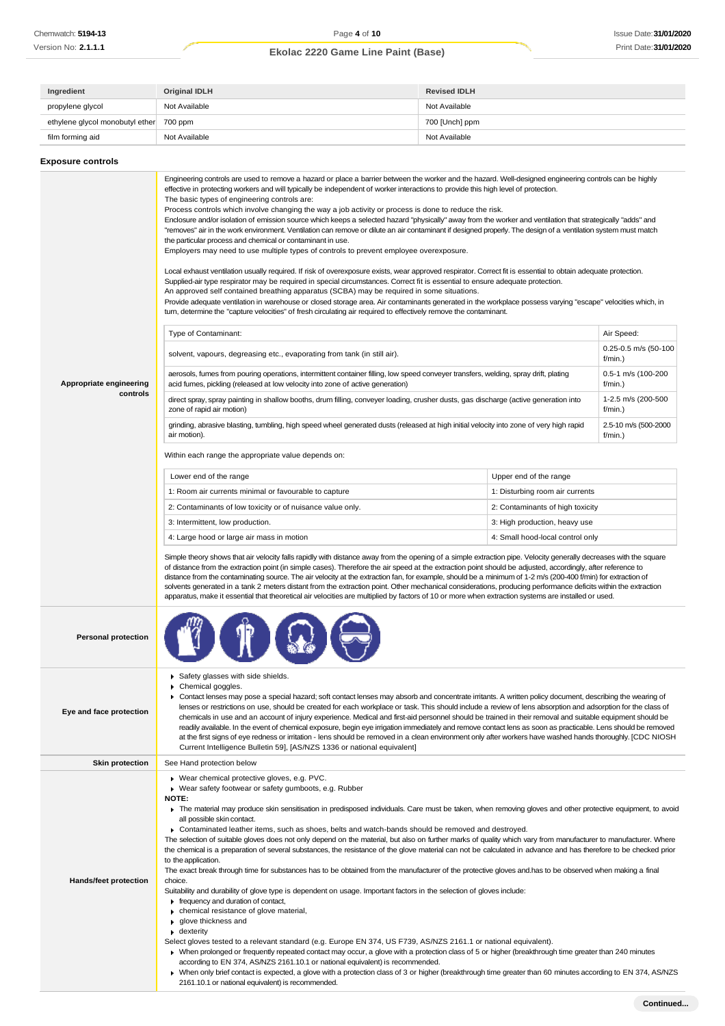| Ingredient                              | Original IDLH | <b>Revised IDLH</b> |
|-----------------------------------------|---------------|---------------------|
| propylene glycol                        | Not Available | Not Available       |
| ethylene glycol monobutyl ether 700 ppm |               | 700 [Unch] ppm      |
| film forming aid                        | Not Available | Not Available       |

| <b>Exposure controls</b>            |                                                                                                                                                                                                                                                                                                                                                                                                                                                                                                                                                                                                                                                                                                                                                                                                                                                                                                                                                                                                                                                                                                                                                                                                                                                                                                                                                                                                                                                                                                                                                                                                                                                                                                                                                                                                                                                                                                                                                                                                                                                                                                                                                                                                                                                                                                                                                                                                                                                                                                                                                                                                                                                                                                                                                                                                                                                                                                                                                                                                                                                                                                  |                                                                                                                                                                    |                                                                                                                                                    |
|-------------------------------------|--------------------------------------------------------------------------------------------------------------------------------------------------------------------------------------------------------------------------------------------------------------------------------------------------------------------------------------------------------------------------------------------------------------------------------------------------------------------------------------------------------------------------------------------------------------------------------------------------------------------------------------------------------------------------------------------------------------------------------------------------------------------------------------------------------------------------------------------------------------------------------------------------------------------------------------------------------------------------------------------------------------------------------------------------------------------------------------------------------------------------------------------------------------------------------------------------------------------------------------------------------------------------------------------------------------------------------------------------------------------------------------------------------------------------------------------------------------------------------------------------------------------------------------------------------------------------------------------------------------------------------------------------------------------------------------------------------------------------------------------------------------------------------------------------------------------------------------------------------------------------------------------------------------------------------------------------------------------------------------------------------------------------------------------------------------------------------------------------------------------------------------------------------------------------------------------------------------------------------------------------------------------------------------------------------------------------------------------------------------------------------------------------------------------------------------------------------------------------------------------------------------------------------------------------------------------------------------------------------------------------------------------------------------------------------------------------------------------------------------------------------------------------------------------------------------------------------------------------------------------------------------------------------------------------------------------------------------------------------------------------------------------------------------------------------------------------------------------------|--------------------------------------------------------------------------------------------------------------------------------------------------------------------|----------------------------------------------------------------------------------------------------------------------------------------------------|
| Appropriate engineering<br>controls | Engineering controls are used to remove a hazard or place a barrier between the worker and the hazard. Well-designed engineering controls can be highly<br>effective in protecting workers and will typically be independent of worker interactions to provide this high level of protection.<br>The basic types of engineering controls are:<br>Process controls which involve changing the way a job activity or process is done to reduce the risk.<br>Enclosure and/or isolation of emission source which keeps a selected hazard "physically" away from the worker and ventilation that strategically "adds" and<br>"removes" air in the work environment. Ventilation can remove or dilute an air contaminant if designed properly. The design of a ventilation system must match<br>the particular process and chemical or contaminant in use.<br>Employers may need to use multiple types of controls to prevent employee overexposure.<br>Local exhaust ventilation usually required. If risk of overexposure exists, wear approved respirator. Correct fit is essential to obtain adequate protection.<br>Supplied-air type respirator may be required in special circumstances. Correct fit is essential to ensure adequate protection.<br>An approved self contained breathing apparatus (SCBA) may be required in some situations.<br>Provide adequate ventilation in warehouse or closed storage area. Air contaminants generated in the workplace possess varying "escape" velocities which, in<br>turn, determine the "capture velocities" of fresh circulating air required to effectively remove the contaminant.<br>Type of Contaminant:<br>solvent, vapours, degreasing etc., evaporating from tank (in still air).<br>aerosols, fumes from pouring operations, intermittent container filling, low speed conveyer transfers, welding, spray drift, plating<br>acid fumes, pickling (released at low velocity into zone of active generation)<br>direct spray, spray painting in shallow booths, drum filling, conveyer loading, crusher dusts, gas discharge (active generation into<br>zone of rapid air motion)<br>grinding, abrasive blasting, tumbling, high speed wheel generated dusts (released at high initial velocity into zone of very high rapid<br>air motion).<br>Within each range the appropriate value depends on:<br>Lower end of the range<br>1: Room air currents minimal or favourable to capture<br>2: Contaminants of low toxicity or of nuisance value only.<br>3: Intermittent, low production.<br>4: Large hood or large air mass in motion<br>Simple theory shows that air velocity falls rapidly with distance away from the opening of a simple extraction pipe. Velocity generally decreases with the square<br>of distance from the extraction point (in simple cases). Therefore the air speed at the extraction point should be adjusted, accordingly, after reference to<br>distance from the contaminating source. The air velocity at the extraction fan, for example, should be a minimum of 1-2 m/s (200-400 f/min) for extraction of | Upper end of the range<br>1: Disturbing room air currents<br>2: Contaminants of high toxicity<br>3: High production, heavy use<br>4: Small hood-local control only | Air Speed:<br>0.25-0.5 m/s (50-100<br>f/min.)<br>0.5-1 m/s (100-200<br>f/min.)<br>1-2.5 m/s (200-500<br>f/min.)<br>2.5-10 m/s (500-2000<br>f/min.) |
| <b>Personal protection</b>          | solvents generated in a tank 2 meters distant from the extraction point. Other mechanical considerations, producing performance deficits within the extraction<br>apparatus, make it essential that theoretical air velocities are multiplied by factors of 10 or more when extraction systems are installed or used.                                                                                                                                                                                                                                                                                                                                                                                                                                                                                                                                                                                                                                                                                                                                                                                                                                                                                                                                                                                                                                                                                                                                                                                                                                                                                                                                                                                                                                                                                                                                                                                                                                                                                                                                                                                                                                                                                                                                                                                                                                                                                                                                                                                                                                                                                                                                                                                                                                                                                                                                                                                                                                                                                                                                                                            |                                                                                                                                                                    |                                                                                                                                                    |
| Eye and face protection             | Safety glasses with side shields.<br>Chemical goggles.<br>▶ Contact lenses may pose a special hazard; soft contact lenses may absorb and concentrate irritants. A written policy document, describing the wearing of<br>lenses or restrictions on use, should be created for each workplace or task. This should include a review of lens absorption and adsorption for the class of<br>chemicals in use and an account of injury experience. Medical and first-aid personnel should be trained in their removal and suitable equipment should be<br>readily available. In the event of chemical exposure, begin eye irrigation immediately and remove contact lens as soon as practicable. Lens should be removed<br>at the first signs of eye redness or irritation - lens should be removed in a clean environment only after workers have washed hands thoroughly. [CDC NIOSH<br>Current Intelligence Bulletin 59], [AS/NZS 1336 or national equivalent]                                                                                                                                                                                                                                                                                                                                                                                                                                                                                                                                                                                                                                                                                                                                                                                                                                                                                                                                                                                                                                                                                                                                                                                                                                                                                                                                                                                                                                                                                                                                                                                                                                                                                                                                                                                                                                                                                                                                                                                                                                                                                                                                     |                                                                                                                                                                    |                                                                                                                                                    |
| <b>Skin protection</b>              | See Hand protection below                                                                                                                                                                                                                                                                                                                                                                                                                                                                                                                                                                                                                                                                                                                                                                                                                                                                                                                                                                                                                                                                                                                                                                                                                                                                                                                                                                                                                                                                                                                                                                                                                                                                                                                                                                                                                                                                                                                                                                                                                                                                                                                                                                                                                                                                                                                                                                                                                                                                                                                                                                                                                                                                                                                                                                                                                                                                                                                                                                                                                                                                        |                                                                                                                                                                    |                                                                                                                                                    |
| <b>Hands/feet protection</b>        | ▶ Wear chemical protective gloves, e.g. PVC.<br>▶ Wear safety footwear or safety gumboots, e.g. Rubber<br>NOTE:<br>The material may produce skin sensitisation in predisposed individuals. Care must be taken, when removing gloves and other protective equipment, to avoid<br>all possible skin contact.<br>► Contaminated leather items, such as shoes, belts and watch-bands should be removed and destroyed.<br>The selection of suitable gloves does not only depend on the material, but also on further marks of quality which vary from manufacturer to manufacturer. Where<br>the chemical is a preparation of several substances, the resistance of the glove material can not be calculated in advance and has therefore to be checked prior<br>to the application.<br>The exact break through time for substances has to be obtained from the manufacturer of the protective gloves and has to be observed when making a final<br>choice.<br>Suitability and durability of glove type is dependent on usage. Important factors in the selection of gloves include:<br>Firequency and duration of contact,<br>chemical resistance of glove material,<br>▶ glove thickness and<br>$\bullet$ dexterity<br>Select gloves tested to a relevant standard (e.g. Europe EN 374, US F739, AS/NZS 2161.1 or national equivalent).<br>▶ When prolonged or frequently repeated contact may occur, a glove with a protection class of 5 or higher (breakthrough time greater than 240 minutes<br>according to EN 374, AS/NZS 2161.10.1 or national equivalent) is recommended.<br>> When only brief contact is expected, a glove with a protection class of 3 or higher (breakthrough time greater than 60 minutes according to EN 374, AS/NZS<br>2161.10.1 or national equivalent) is recommended.                                                                                                                                                                                                                                                                                                                                                                                                                                                                                                                                                                                                                                                                                                                                                                                                                                                                                                                                                                                                                                                                                                                                                                                                                                                                                              |                                                                                                                                                                    |                                                                                                                                                    |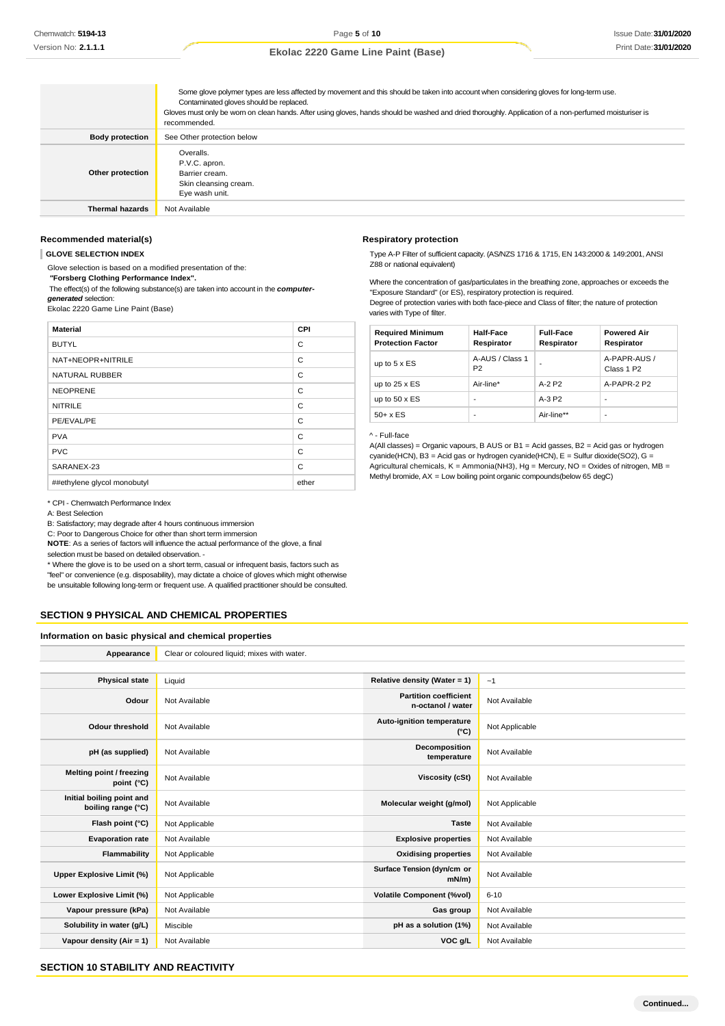|                        | Some glove polymer types are less affected by movement and this should be taken into account when considering gloves for long-term use.<br>Contaminated gloves should be replaced.<br>Gloves must only be wom on clean hands. After using gloves, hands should be washed and dried thoroughly. Application of a non-perfumed moisturiser is<br>recommended. |
|------------------------|-------------------------------------------------------------------------------------------------------------------------------------------------------------------------------------------------------------------------------------------------------------------------------------------------------------------------------------------------------------|
| <b>Body protection</b> | See Other protection below                                                                                                                                                                                                                                                                                                                                  |
| Other protection       | Overalls.<br>P.V.C. apron.<br>Barrier cream.<br>Skin cleansing cream.<br>Eye wash unit.                                                                                                                                                                                                                                                                     |
| <b>Thermal hazards</b> | Not Available                                                                                                                                                                                                                                                                                                                                               |

### **Recommended material(s)**

**GLOVE SELECTION INDEX**

Glove selection is based on a modified presentation of the:

*"***Forsberg Clothing Performance Index".**

The effect(s) of the following substance(s) are taken into account in the *computergenerated* selection:

Ekolac 2220 Game Line Paint (Base)

| <b>Material</b>             | <b>CPI</b> |
|-----------------------------|------------|
| <b>BUTYL</b>                | C          |
| NAT+NEOPR+NITRILE           | C          |
| NATURAL RUBBER              | C          |
| <b>NEOPRENE</b>             | C          |
| <b>NITRILE</b>              | C          |
| PE/EVAL/PE                  | C          |
| <b>PVA</b>                  | C          |
| <b>PVC</b>                  | C          |
| SARANEX-23                  | C          |
| ##ethylene glycol monobutyl | ether      |

### \* CPI - Chemwatch Performance Index

A: Best Selection

B: Satisfactory; may degrade after 4 hours continuous immersion

C: Poor to Dangerous Choice for other than short term immersion

**NOTE**: As a series of factors will influence the actual performance of the glove, a final selection must be based on detailed observation. -

\* Where the glove is to be used on a short term, casual or infrequent basis, factors such as "feel" or convenience (e.g. disposability), may dictate a choice of gloves which might otherwise be unsuitable following long-term or frequent use. A qualified practitioner should be consulted.

### **SECTION 9 PHYSICAL AND CHEMICAL PROPERTIES**

**Information on basic physical and chemical properties**

| Appearance                                      | Clear or coloured liquid; mixes with water. |                                                   |                |
|-------------------------------------------------|---------------------------------------------|---------------------------------------------------|----------------|
|                                                 |                                             |                                                   |                |
| <b>Physical state</b>                           | Liquid                                      | Relative density (Water = 1)                      | ~1             |
| Odour                                           | Not Available                               | <b>Partition coefficient</b><br>n-octanol / water | Not Available  |
| <b>Odour threshold</b>                          | Not Available                               | Auto-ignition temperature<br>$(^{\circ}C)$        | Not Applicable |
| pH (as supplied)                                | Not Available                               | Decomposition<br>temperature                      | Not Available  |
| Melting point / freezing<br>point (°C)          | Not Available                               | Viscosity (cSt)                                   | Not Available  |
| Initial boiling point and<br>boiling range (°C) | Not Available                               | Molecular weight (g/mol)                          | Not Applicable |
| Flash point (°C)                                | Not Applicable                              | <b>Taste</b>                                      | Not Available  |
| <b>Evaporation rate</b>                         | Not Available                               | <b>Explosive properties</b>                       | Not Available  |
| Flammability                                    | Not Applicable                              | <b>Oxidising properties</b>                       | Not Available  |
| Upper Explosive Limit (%)                       | Not Applicable                              | Surface Tension (dyn/cm or<br>$mN/m$ )            | Not Available  |
| Lower Explosive Limit (%)                       | Not Applicable                              | <b>Volatile Component (%vol)</b>                  | $6 - 10$       |
| Vapour pressure (kPa)                           | Not Available                               | Gas group                                         | Not Available  |
| Solubility in water (g/L)                       | Miscible                                    | pH as a solution (1%)                             | Not Available  |
| Vapour density (Air = 1)                        | Not Available                               | VOC g/L                                           | Not Available  |

## **Respiratory protection**

Type A-P Filter of sufficient capacity. (AS/NZS 1716 & 1715, EN 143:2000 & 149:2001, ANSI Z88 or national equivalent)

Where the concentration of gas/particulates in the breathing zone, approaches or exceeds the "Exposure Standard" (or ES), respiratory protection is required.

Degree of protection varies with both face-piece and Class of filter; the nature of protection varies with Type of filter.

| <b>Required Minimum</b><br><b>Protection Factor</b> | <b>Half-Face</b><br>Respirator    | <b>Full-Face</b><br>Respirator | <b>Powered Air</b><br>Respirator       |
|-----------------------------------------------------|-----------------------------------|--------------------------------|----------------------------------------|
| up to $5 \times ES$                                 | A-AUS / Class 1<br>P <sub>2</sub> |                                | A-PAPR-AUS /<br>Class 1 P <sub>2</sub> |
| up to $25 \times ES$                                | Air-line*                         | $A-2$ P <sub>2</sub>           | A-PAPR-2 P2                            |
| up to $50 \times ES$                                |                                   | $A-3P2$                        | ٠                                      |
| $50+ x ES$                                          |                                   | Air-line**                     |                                        |

### ^ - Full-face

A(All classes) = Organic vapours, B AUS or B1 = Acid gasses, B2 = Acid gas or hydrogen cyanide(HCN), B3 = Acid gas or hydrogen cyanide(HCN), E = Sulfur dioxide(SO2), G = Agricultural chemicals,  $K =$  Ammonia(NH3), Hg = Mercury, NO = Oxides of nitrogen, MB = Methyl bromide, AX = Low boiling point organic compounds(below 65 degC)

**Continued...**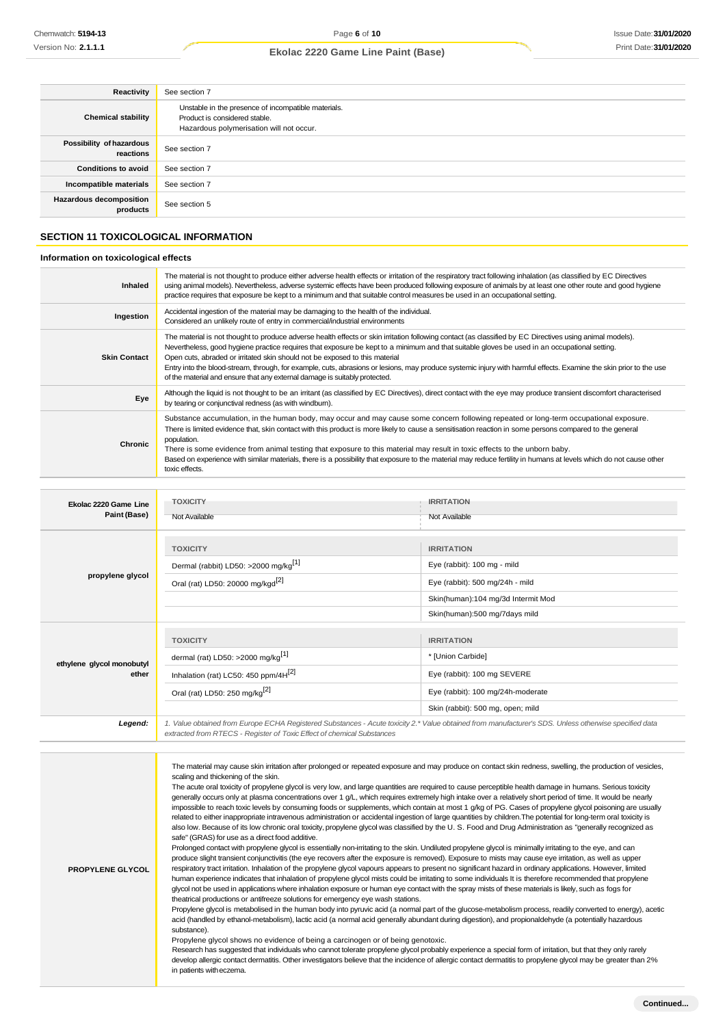| Reactivity                                 | See section 7                                                                                                                    |
|--------------------------------------------|----------------------------------------------------------------------------------------------------------------------------------|
| <b>Chemical stability</b>                  | Unstable in the presence of incompatible materials.<br>Product is considered stable.<br>Hazardous polymerisation will not occur. |
| Possibility of hazardous<br>reactions      | See section 7                                                                                                                    |
| <b>Conditions to avoid</b>                 | See section 7                                                                                                                    |
| Incompatible materials                     | See section 7                                                                                                                    |
| <b>Hazardous decomposition</b><br>products | See section 5                                                                                                                    |

## **SECTION 11 TOXICOLOGICAL INFORMATION**

## **Information on toxicological effects**

| Inhaled             | The material is not thought to produce either adverse health effects or irritation of the respiratory tract following inhalation (as classified by EC Directives<br>using animal models). Nevertheless, adverse systemic effects have been produced following exposure of animals by at least one other route and good hygiene<br>practice requires that exposure be kept to a minimum and that suitable control measures be used in an occupational setting.                                                                                                                                                                               |
|---------------------|---------------------------------------------------------------------------------------------------------------------------------------------------------------------------------------------------------------------------------------------------------------------------------------------------------------------------------------------------------------------------------------------------------------------------------------------------------------------------------------------------------------------------------------------------------------------------------------------------------------------------------------------|
| Ingestion           | Accidental ingestion of the material may be damaging to the health of the individual.<br>Considered an unlikely route of entry in commercial/industrial environments                                                                                                                                                                                                                                                                                                                                                                                                                                                                        |
| <b>Skin Contact</b> | The material is not thought to produce adverse health effects or skin irritation following contact (as classified by EC Directives using animal models).<br>Nevertheless, good hygiene practice requires that exposure be kept to a minimum and that suitable gloves be used in an occupational setting.<br>Open cuts, abraded or irritated skin should not be exposed to this material<br>Entry into the blood-stream, through, for example, cuts, abrasions or lesions, may produce systemic injury with harmful effects. Examine the skin prior to the use<br>of the material and ensure that any external damage is suitably protected. |
| Eye                 | Although the liquid is not thought to be an irritant (as classified by EC Directives), direct contact with the eye may produce transient discomfort characterised<br>by tearing or conjunctival redness (as with windburn).                                                                                                                                                                                                                                                                                                                                                                                                                 |
| Chronic             | Substance accumulation, in the human body, may occur and may cause some concern following repeated or long-term occupational exposure.<br>There is limited evidence that, skin contact with this product is more likely to cause a sensitisation reaction in some persons compared to the general<br>population.<br>There is some evidence from animal testing that exposure to this material may result in toxic effects to the unborn baby.<br>Based on experience with similar materials, there is a possibility that exposure to the material may reduce fertility in humans at levels which do not cause other<br>toxic effects.       |

| Ekolac 2220 Game Line<br>Paint (Base) | <b>TOXICITY</b><br>Not Available                                                                                                                                                                                                | <b>IRRITATION</b><br>Not Available                                                                                                                         |
|---------------------------------------|---------------------------------------------------------------------------------------------------------------------------------------------------------------------------------------------------------------------------------|------------------------------------------------------------------------------------------------------------------------------------------------------------|
| propylene glycol                      | <b>TOXICITY</b><br>Dermal (rabbit) LD50: >2000 mg/kg <sup>[1]</sup><br>Oral (rat) LD50: 20000 mg/kgd <sup>[2]</sup>                                                                                                             | <b>IRRITATION</b><br>Eye (rabbit): 100 mg - mild<br>Eye (rabbit): 500 mg/24h - mild<br>Skin(human):104 mg/3d Intermit Mod<br>Skin(human):500 mg/7days mild |
| ethylene glycol monobutyl<br>ether    | <b>TOXICITY</b><br>dermal (rat) LD50: >2000 mg/kg <sup>[1]</sup><br>Inhalation (rat) LC50: 450 ppm/4H <sup>[2]</sup><br>Oral (rat) LD50: 250 mg/kg <sup>[2]</sup>                                                               | <b>IRRITATION</b><br>* [Union Carbide]<br>Eye (rabbit): 100 mg SEVERE<br>Eye (rabbit): 100 mg/24h-moderate<br>Skin (rabbit): 500 mg, open; mild            |
| Legend:                               | 1. Value obtained from Europe ECHA Registered Substances - Acute toxicity 2.* Value obtained from manufacturer's SDS. Unless otherwise specified data<br>extracted from RTECS - Register of Toxic Effect of chemical Substances |                                                                                                                                                            |

| <b>PROPYLENE GLYCOL</b> | The material may cause skin irritation after prolonged or repeated exposure and may produce on contact skin redness, swelling, the production of vesicles,<br>scaling and thickening of the skin.<br>The acute oral toxicity of propylene glycol is very low, and large quantities are required to cause perceptible health damage in humans. Serious toxicity<br>generally occurs only at plasma concentrations over 1 g/L, which requires extremely high intake over a relatively short period of time. It would be nearly<br>impossible to reach toxic levels by consuming foods or supplements, which contain at most 1 g/kg of PG. Cases of propylene glycol poisoning are usually<br>related to either inappropriate intravenous administration or accidental ingestion of large quantities by children. The potential for long-term oral toxicity is<br>also low. Because of its low chronic oral toxicity, propylene glycol was classified by the U.S. Food and Drug Administration as "generally recognized as<br>safe" (GRAS) for use as a direct food additive.<br>Prolonged contact with propylene glycol is essentially non-irritating to the skin. Undiluted propylene glycol is minimally irritating to the eye, and can<br>produce slight transient conjunctivitis (the eye recovers after the exposure is removed). Exposure to mists may cause eye irritation, as well as upper<br>respiratory tract irritation. Inhalation of the propylene glycol vapours appears to present no significant hazard in ordinary applications. However, limited<br>human experience indicates that inhalation of propylene glycol mists could be irritating to some individuals It is therefore recommended that propylene<br>glycol not be used in applications where inhalation exposure or human eye contact with the spray mists of these materials is likely, such as fogs for<br>theatrical productions or antifreeze solutions for emergency eye wash stations.<br>Propylene glycol is metabolised in the human body into pyruvic acid (a normal part of the glucose-metabolism process, readily converted to energy), acetic<br>acid (handled by ethanol-metabolism), lactic acid (a normal acid generally abundant during digestion), and propionaldehyde (a potentially hazardous<br>substance).<br>Propylene glycol shows no evidence of being a carcinogen or of being genotoxic.<br>Research has suggested that individuals who cannot tolerate propylene glycol probably experience a special form of irritation, but that they only rarely<br>develop allergic contact dermatitis. Other investigators believe that the incidence of allergic contact dermatitis to propylene glycol may be greater than 2%<br>in patients with eczema. |
|-------------------------|----------------------------------------------------------------------------------------------------------------------------------------------------------------------------------------------------------------------------------------------------------------------------------------------------------------------------------------------------------------------------------------------------------------------------------------------------------------------------------------------------------------------------------------------------------------------------------------------------------------------------------------------------------------------------------------------------------------------------------------------------------------------------------------------------------------------------------------------------------------------------------------------------------------------------------------------------------------------------------------------------------------------------------------------------------------------------------------------------------------------------------------------------------------------------------------------------------------------------------------------------------------------------------------------------------------------------------------------------------------------------------------------------------------------------------------------------------------------------------------------------------------------------------------------------------------------------------------------------------------------------------------------------------------------------------------------------------------------------------------------------------------------------------------------------------------------------------------------------------------------------------------------------------------------------------------------------------------------------------------------------------------------------------------------------------------------------------------------------------------------------------------------------------------------------------------------------------------------------------------------------------------------------------------------------------------------------------------------------------------------------------------------------------------------------------------------------------------------------------------------------------------------------------------------------------------------------------------------------------------------------------------------------------------------------------------------------------------------------------------------------------|
|-------------------------|----------------------------------------------------------------------------------------------------------------------------------------------------------------------------------------------------------------------------------------------------------------------------------------------------------------------------------------------------------------------------------------------------------------------------------------------------------------------------------------------------------------------------------------------------------------------------------------------------------------------------------------------------------------------------------------------------------------------------------------------------------------------------------------------------------------------------------------------------------------------------------------------------------------------------------------------------------------------------------------------------------------------------------------------------------------------------------------------------------------------------------------------------------------------------------------------------------------------------------------------------------------------------------------------------------------------------------------------------------------------------------------------------------------------------------------------------------------------------------------------------------------------------------------------------------------------------------------------------------------------------------------------------------------------------------------------------------------------------------------------------------------------------------------------------------------------------------------------------------------------------------------------------------------------------------------------------------------------------------------------------------------------------------------------------------------------------------------------------------------------------------------------------------------------------------------------------------------------------------------------------------------------------------------------------------------------------------------------------------------------------------------------------------------------------------------------------------------------------------------------------------------------------------------------------------------------------------------------------------------------------------------------------------------------------------------------------------------------------------------------------------|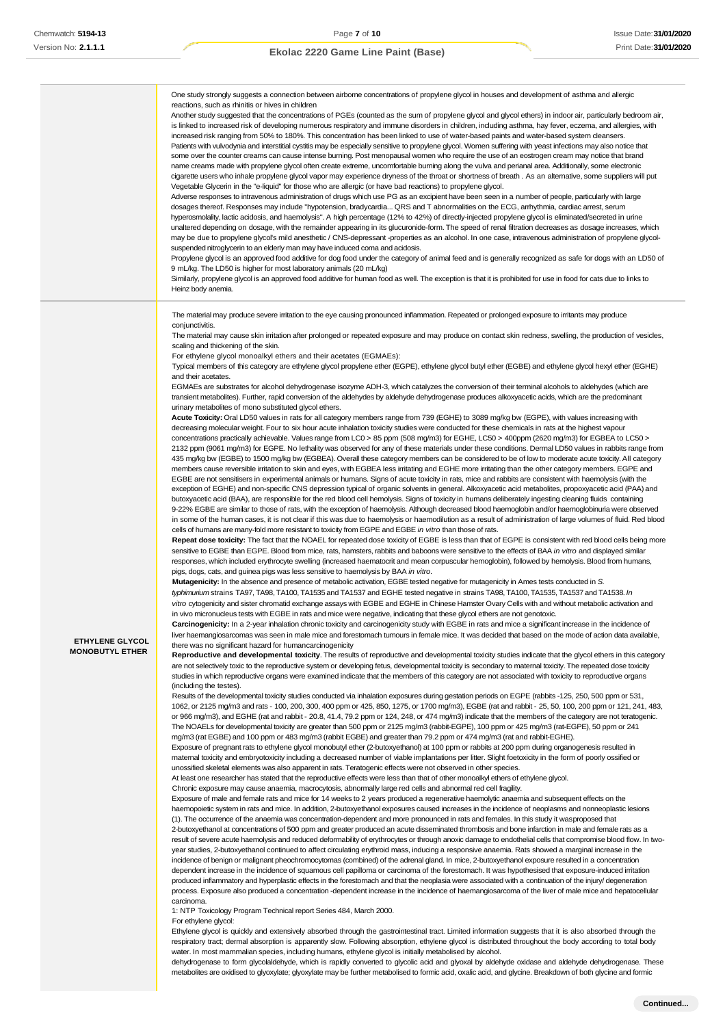|                                           | One study strongly suggests a connection between airborne concentrations of propylene glycol in houses and development of asthma and allergic<br>reactions, such as rhinitis or hives in children<br>Another study suggested that the concentrations of PGEs (counted as the sum of propylene glycol and glycol ethers) in indoor air, particularly bedroom air,<br>is linked to increased risk of developing numerous respiratory and immune disorders in children, including asthma, hay fever, eczema, and allergies, with<br>increased risk ranging from 50% to 180%. This concentration has been linked to use of water-based paints and water-based system cleansers.<br>Patients with vulvodynia and interstitial cystitis may be especially sensitive to propylene glycol. Women suffering with yeast infections may also notice that<br>some over the counter creams can cause intense burning. Post menopausal women who require the use of an eostrogen cream may notice that brand<br>name creams made with propylene glycol often create extreme, uncomfortable buming along the vulva and perianal area. Additionally, some electronic<br>cigarette users who inhale propylene glycol vapor may experience dryness of the throat or shortness of breath. As an alternative, some suppliers will put<br>Vegetable Glycerin in the "e-liquid" for those who are allergic (or have bad reactions) to propylene glycol.<br>Adverse responses to intravenous administration of drugs which use PG as an excipient have been seen in a number of people, particularly with large<br>dosages thereof. Responses may include "hypotension, bradycardia QRS and T abnormalities on the ECG, arrhythmia, cardiac arrest, serum<br>hyperosmolality, lactic acidosis, and haemolysis". A high percentage (12% to 42%) of directly-injected propylene glycol is eliminated/secreted in urine<br>unaltered depending on dosage, with the remainder appearing in its glucuronide-form. The speed of renal filtration decreases as dosage increases, which<br>may be due to propylene glycol's mild anesthetic / CNS-depressant -properties as an alcohol. In one case, intravenous administration of propylene glycol-<br>suspended nitroglycerin to an elderly man may have induced coma and acidosis.<br>Propylene glycol is an approved food additive for dog food under the category of animal feed and is generally recognized as safe for dogs with an LD50 of<br>9 mL/kg. The LD50 is higher for most laboratory animals (20 mL/kg)<br>Similarly, propylene glycol is an approved food additive for human food as well. The exception is that it is prohibited for use in food for cats due to links to<br>Heinz body anemia.                                                                                                                                                                                                                                                                                                                                                                                                                                                                                                                                                                                                                                                                                                                                                                                                                                                                                                                                                                                                                                                                                                                                                                                                                                                                                                                                                                                                                                                                                                                                                                                                                                                                                                                                                                                                                                                                                                                                                                                                                                                                                                                                                                                                                                                                                                                                                                                                                                                                                                                                                                                                                                                                                                                                                                                                                                                                                                                                                                                                                                                                                                                                                                                                                                                                                                                                                                                                                                                                                                                                                                                                                                                                                                                                                                                                                                                                                                                                                                                                                                                                                                                                                                                                                                                                                                                                                                                                                                                                                                                                                                                                                                                                                                                                                                                                                                                                                                                                                                                                                                                                                                                                                                                                                                                                                                                                                                                                                                                                                                                                                                                                                         |
|-------------------------------------------|-------------------------------------------------------------------------------------------------------------------------------------------------------------------------------------------------------------------------------------------------------------------------------------------------------------------------------------------------------------------------------------------------------------------------------------------------------------------------------------------------------------------------------------------------------------------------------------------------------------------------------------------------------------------------------------------------------------------------------------------------------------------------------------------------------------------------------------------------------------------------------------------------------------------------------------------------------------------------------------------------------------------------------------------------------------------------------------------------------------------------------------------------------------------------------------------------------------------------------------------------------------------------------------------------------------------------------------------------------------------------------------------------------------------------------------------------------------------------------------------------------------------------------------------------------------------------------------------------------------------------------------------------------------------------------------------------------------------------------------------------------------------------------------------------------------------------------------------------------------------------------------------------------------------------------------------------------------------------------------------------------------------------------------------------------------------------------------------------------------------------------------------------------------------------------------------------------------------------------------------------------------------------------------------------------------------------------------------------------------------------------------------------------------------------------------------------------------------------------------------------------------------------------------------------------------------------------------------------------------------------------------------------------------------------------------------------------------------------------------------------------------------------------------------------------------------------------------------------------------------------------------------------------------------------------------------------------------------------------------------------------------------------------------------------------------------------------------------------------------------------------------------------------------------------------------------------------------------------------------------------------------------------------------------------------------------------------------------------------------------------------------------------------------------------------------------------------------------------------------------------------------------------------------------------------------------------------------------------------------------------------------------------------------------------------------------------------------------------------------------------------------------------------------------------------------------------------------------------------------------------------------------------------------------------------------------------------------------------------------------------------------------------------------------------------------------------------------------------------------------------------------------------------------------------------------------------------------------------------------------------------------------------------------------------------------------------------------------------------------------------------------------------------------------------------------------------------------------------------------------------------------------------------------------------------------------------------------------------------------------------------------------------------------------------------------------------------------------------------------------------------------------------------------------------------------------------------------------------------------------------------------------------------------------------------------------------------------------------------------------------------------------------------------------------------------------------------------------------------------------------------------------------------------------------------------------------------------------------------------------------------------------------------------------------------------------------------------------------------------------------------------------------------------------------------------------------------------------------------------------------------------------------------------------------------------------------------------------------------------------------------------------------------------------------------------------------------------------------------------------------------------------------------------------------------------------------------------------------------------------------------------------------------------------------------------------------------------------------------------------------------------------------------------------------------------------------------------------------------------------------------------------------------------------------------------------------------------------------------------------------------------------------------------------------------------------------------------------------------------------------------------------------------------------------------------------------------------------------------------------------------------------------------------------------------------------------------------------------------------------------------------------------------------------------------------------------------------------------------------------------------------------------------------------------------------------------------------------------------------------------------------------------------------------------------------------------------------------------------------------------------------------------------------------------------------------------------------------------------------------------------------------------------------------------------------------------------------------------------------------------------------------------------------------------------------------------------------------------------------------------------------------------------------------------------------------------------------------------------------------------------------------------------------------------------------------------------------------------------------------------------------------------------------------------------------------------------------------------------------------------------------------------------------------------------------------------------------------------------------------------------------------------------------------------------------------------------------------------------------------------------------------------------------------------------------------------------------------------------------------------------------------------------------------------------------------------------------------------------------------------------------------------------------------------------------------------------------------------------------|
| ETHYLENE GLYCOL<br><b>MONOBUTYL ETHER</b> | The material may produce severe irritation to the eye causing pronounced inflammation. Repeated or prolonged exposure to irritants may produce<br>conjunctivitis.<br>The material may cause skin irritation after prolonged or repeated exposure and may produce on contact skin redness, swelling, the production of vesicles,<br>scaling and thickening of the skin.<br>For ethylene glycol monoalkyl ethers and their acetates (EGMAEs):<br>Typical members of this category are ethylene glycol propylene ether (EGPE), ethylene glycol butyl ether (EGBE) and ethylene glycol hexyl ether (EGHE)<br>and their acetates.<br>EGMAEs are substrates for alcohol dehydrogenase isozyme ADH-3, which catalyzes the conversion of their terminal alcohols to aldehydes (which are<br>transient metabolites). Further, rapid conversion of the aldehydes by aldehyde dehydrogenase produces alkoxyacetic acids, which are the predominant<br>urinary metabolites of mono substituted glycol ethers.<br>Acute Toxicity: Oral LD50 values in rats for all category members range from 739 (EGHE) to 3089 mg/kg bw (EGPE), with values increasing with<br>decreasing molecular weight. Four to six hour acute inhalation toxicity studies were conducted for these chemicals in rats at the highest vapour<br>concentrations practically achievable. Values range from LC0 > 85 ppm (508 mg/m3) for EGHE, LC50 > 400ppm (2620 mg/m3) for EGBEA to LC50 ><br>2132 ppm (9061 mg/m3) for EGPE. No lethality was observed for any of these materials under these conditions. Dermal LD50 values in rabbits range from<br>435 mg/kg bw (EGBE) to 1500 mg/kg bw (EGBEA). Overall these category members can be considered to be of low to moderate acute toxicity. All category<br>members cause reversible irritation to skin and eyes, with EGBEA less irritating and EGHE more irritating than the other category members. EGPE and<br>EGBE are not sensitisers in experimental animals or humans. Signs of acute toxicity in rats, mice and rabbits are consistent with haemolysis (with the<br>exception of EGHE) and non-specific CNS depression typical of organic solvents in general. Alkoxyacetic acid metabolites, propoxyacetic acid (PAA) and<br>butoxyacetic acid (BAA), are responsible for the red blood cell hemolysis. Signs of toxicity in humans deliberately ingesting cleaning fluids containing<br>9-22% EGBE are similar to those of rats, with the exception of haemolysis. Although decreased blood haemoglobin and/or haemoglobinuria were observed<br>in some of the human cases, it is not clear if this was due to haemolysis or haemodilution as a result of administration of large volumes of fluid. Red blood<br>cells of humans are many-fold more resistant to toxicity from EGPE and EGBE in vitro than those of rats.<br>Repeat dose toxicity: The fact that the NOAEL for repeated dose toxicity of EGBE is less than that of EGPE is consistent with red blood cells being more<br>sensitive to EGBE than EGPE. Blood from mice, rats, hamsters, rabbits and baboons were sensitive to the effects of BAA in vitro and displayed similar<br>responses, which included erythrocyte swelling (increased haematocrit and mean corpuscular hemoglobin), followed by hemolysis. Blood from humans,<br>pigs, dogs, cats, and guinea pigs was less sensitive to haemolysis by BAA in vitro.<br>Mutagenicity: In the absence and presence of metabolic activation, EGBE tested negative for mutagenicity in Ames tests conducted in S.<br>typhimurium strains TA97, TA98, TA100, TA1535 and TA1537 and EGHE tested negative in strains TA98, TA100, TA1535, TA1537 and TA1538. In<br>vitro cytogenicity and sister chromatid exchange assays with EGBE and EGHE in Chinese Hamster Ovary Cells with and without metabolic activation and<br>in vivo micronucleus tests with EGBE in rats and mice were negative, indicating that these glycol ethers are not genotoxic.<br>Carcinogenicity: In a 2-year inhalation chronic toxicity and carcinogenicity study with EGBE in rats and mice a significant increase in the incidence of<br>liver haemangiosarcomas was seen in male mice and forestomach tumours in female mice. It was decided that based on the mode of action data available,<br>there was no significant hazard for humancarcinogenicity<br>Reproductive and developmental toxicity. The results of reproductive and developmental toxicity studies indicate that the glycol ethers in this category<br>are not selectively toxic to the reproductive system or developing fetus, developmental toxicity is secondary to maternal toxicity. The repeated dose toxicity<br>studies in which reproductive organs were examined indicate that the members of this category are not associated with toxicity to reproductive organs<br>(including the testes).<br>Results of the developmental toxicity studies conducted via inhalation exposures during gestation periods on EGPE (rabbits -125, 250, 500 ppm or 531,<br>1062, or 2125 mg/m3 and rats - 100, 200, 300, 400 ppm or 425, 850, 1275, or 1700 mg/m3), EGBE (rat and rabbit - 25, 50, 100, 200 ppm or 121, 241, 483,<br>or 966 mg/m3), and EGHE (rat and rabbit - 20.8, 41.4, 79.2 ppm or 124, 248, or 474 mg/m3) indicate that the members of the category are not teratogenic.<br>The NOAELs for developmental toxicity are greater than 500 ppm or 2125 mg/m3 (rabbit-EGPE), 100 ppm or 425 mg/m3 (rat-EGPE), 50 ppm or 241<br>mg/m3 (rat EGBE) and 100 ppm or 483 mg/m3 (rabbit EGBE) and greater than 79.2 ppm or 474 mg/m3 (rat and rabbit-EGHE).<br>Exposure of pregnant rats to ethylene glycol monobutyl ether (2-butoxyethanol) at 100 ppm or rabbits at 200 ppm during organogenesis resulted in<br>maternal toxicity and embryotoxicity including a decreased number of viable implantations per litter. Slight foetoxicity in the form of poorly ossified or<br>unossified skeletal elements was also apparent in rats. Teratogenic effects were not observed in other species.<br>At least one researcher has stated that the reproductive effects were less than that of other monoalkyl ethers of ethylene glycol.<br>Chronic exposure may cause anaemia, macrocytosis, abnormally large red cells and abnormal red cell fragility.<br>Exposure of male and female rats and mice for 14 weeks to 2 years produced a regenerative haemolytic anaemia and subsequent effects on the<br>haemopoietic system in rats and mice. In addition, 2-butoxyethanol exposures caused increases in the incidence of neoplasms and nonneoplastic lesions<br>(1). The occurrence of the anaemia was concentration-dependent and more pronounced in rats and females. In this study it wasproposed that<br>2-butoxyethanol at concentrations of 500 ppm and greater produced an acute disseminated thrombosis and bone infarction in male and female rats as a<br>result of severe acute haemolysis and reduced deformability of erythrocytes or through anoxic damage to endothelial cells that compromise blood flow. In two-<br>year studies, 2-butoxyethanol continued to affect circulating erythroid mass, inducing a responsive anaemia. Rats showed a marginal increase in the<br>incidence of benign or malignant pheochromocytomas (combined) of the adrenal gland. In mice, 2-butoxyethanol exposure resulted in a concentration<br>dependent increase in the incidence of squamous cell papilloma or carcinoma of the forestomach. It was hypothesised that exposure-induced irritation<br>produced inflammatory and hyperplastic effects in the forestomach and that the neoplasia were associated with a continuation of the injury/degeneration<br>process. Exposure also produced a concentration -dependent increase in the incidence of haemangiosarcoma of the liver of male mice and hepatocellular<br>carcinoma.<br>1: NTP Toxicology Program Technical report Series 484, March 2000.<br>For ethylene glycol:<br>Ethylene glycol is quickly and extensively absorbed through the gastrointestinal tract. Limited information suggests that it is also absorbed through the<br>respiratory tract; dermal absorption is apparently slow. Following absorption, ethylene glycol is distributed throughout the body according to total body |

water. In most mammalian species, including humans, ethylene glycol is initially metabolised by alcohol. dehydrogenase to form glycolaldehyde, which is rapidly converted to glycolic acid and glyoxal by aldehyde oxidase and aldehyde dehydrogenase. These metabolites are oxidised to glyoxylate; glyoxylate may be further metabolised to formic acid, oxalic acid, and glycine. Breakdown of both glycine and formic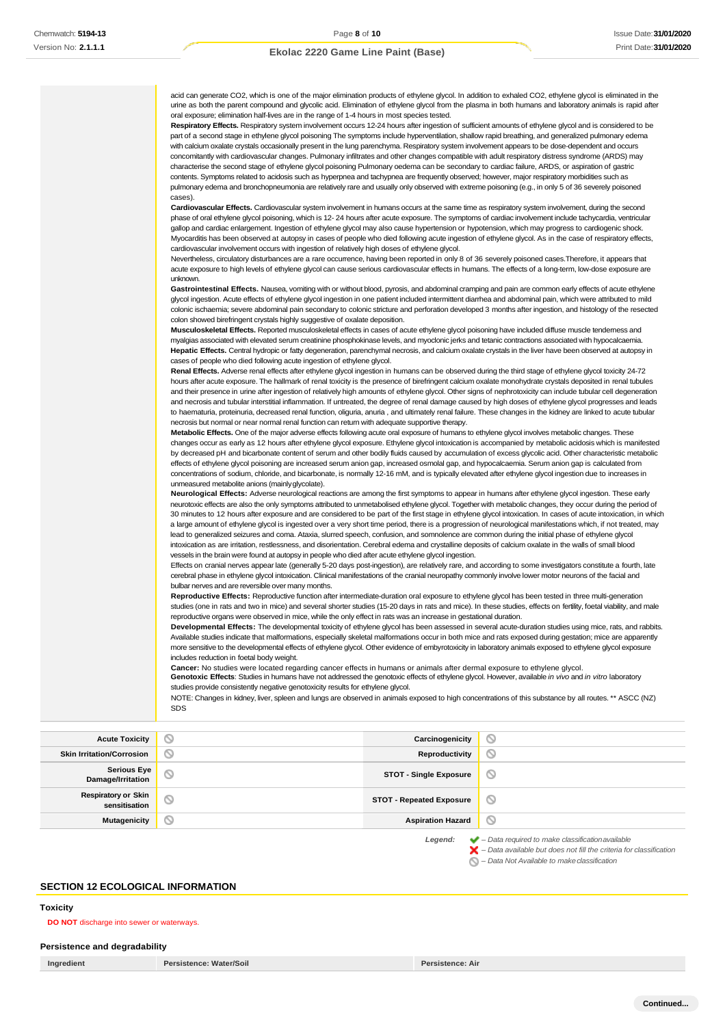acid can generate CO2, which is one of the major elimination products of ethylene glycol. In addition to exhaled CO2, ethylene glycol is eliminated in the urine as both the parent compound and glycolic acid. Elimination of ethylene glycol from the plasma in both humans and laboratory animals is rapid after oral exposure; elimination half-lives are in the range of 1-4 hours in most species tested. **Respiratory Effects.** Respiratory system involvement occurs 12-24 hours after ingestion of sufficient amounts of ethylene glycol and is considered to be part of a second stage in ethylene glycol poisoning The symptoms include hyperventilation, shallow rapid breathing, and generalized pulmonary edema with calcium oxalate crystals occasionally present in the lung parenchyma. Respiratory system involvement appears to be dose-dependent and occurs concomitantly with cardiovascular changes. Pulmonary infiltrates and other changes compatible with adult respiratory distress syndrome (ARDS) may characterise the second stage of ethylene glycol poisoning Pulmonary oedema can be secondary to cardiac failure, ARDS, or aspiration of gastric contents. Symptoms related to acidosis such as hyperpnea and tachypnea are frequently observed; however, major respiratory morbidities such as pulmonary edema and bronchopneumonia are relatively rare and usually only observed with extreme poisoning (e.g., in only 5 of 36 severely poisoned cases). **Cardiovascular Effects.** Cardiovascular system involvement in humans occurs at the same time as respiratory system involvement, during the second phase of oral ethylene glycol poisoning, which is 12- 24 hours after acute exposure. The symptoms of cardiac involvement include tachycardia, ventricular gallop and cardiac enlargement. Ingestion of ethylene glycol may also cause hypertension or hypotension, which may progress to cardiogenic shock. Myocarditis has been observed at autopsy in cases of people who died following acute ingestion of ethylene glycol. As in the case of respiratory effects, cardiovascular involvement occurs with ingestion of relatively high doses of ethylene glycol. Nevertheless, circulatory disturbances are a rare occurrence, having been reported in only 8 of 36 severely poisoned cases.Therefore, it appears that acute exposure to high levels of ethylene glycol can cause serious cardiovascular effects in humans. The effects of a long-term, low-dose exposure are unknown. Gastrointestinal Effects. Nausea, vomiting with or without blood, pyrosis, and abdominal cramping and pain are common early effects of acute ethylene glycol ingestion. Acute effects of ethylene glycol ingestion in one patient included intermittent diarrhea and abdominal pain, which were attributed to mild colonic ischaemia; severe abdominal pain secondary to colonic stricture and perforation developed 3 months after ingestion, and histology of the resected colon showed birefringent crystals highly suggestive of oxalate deposition. **Musculoskeletal Effects.** Reported musculoskeletal effects in cases of acute ethylene glycol poisoning have included diffuse muscle tenderness and myalgias associated with elevated serum creatinine phosphokinase levels, and myoclonic jerks and tetanic contractions associated with hypocalcaemia. **Hepatic Effects.** Central hydropic or fatty degeneration, parenchymal necrosis, and calcium oxalate crystals in the liver have been observed at autopsy in cases of people who died following acute ingestion of ethylene glycol. **Renal Effects.** Adverse renal effects after ethylene glycol ingestion in humans can be observed during the third stage of ethylene glycol toxicity 24-72 hours after acute exposure. The hallmark of renal toxicity is the presence of birefringent calcium oxalate monohydrate crystals deposited in renal tubules and their presence in urine after ingestion of relatively high amounts of ethylene glycol. Other signs of nephrotoxicity can include tubular cell degeneration and necrosis and tubular interstitial inflammation. If untreated, the degree of renal damage caused by high doses of ethylene glycol progresses and leads to haematuria, proteinuria, decreased renal function, oliguria, anuria , and ultimately renal failure. These changes in the kidney are linked to acute tubular necrosis but normal or near normal renal function can return with adequate supportive therapy. **Metabolic Effects.** One of the major adverse effects following acute oral exposure of humans to ethylene glycol involves metabolic changes. These changes occur as early as 12 hours after ethylene glycol exposure. Ethylene glycol intoxication is accompanied by metabolic acidosis which is manifested by decreased pH and bicarbonate content of serum and other bodily fluids caused by accumulation of excess glycolic acid. Other characteristic metabolic effects of ethylene glycol poisoning are increased serum anion gap, increased osmolal gap, and hypocalcaemia. Serum anion gap is calculated from concentrations of sodium, chloride, and bicarbonate, is normally 12-16 mM, and is typically elevated after ethylene glycol ingestion due to increases in unmeasured metabolite anions (mainlyglycolate). **Neurological Effects:** Adverse neurological reactions are among the first symptoms to appear in humans after ethylene glycol ingestion. These early neurotoxic effects are also the only symptoms attributed to unmetabolised ethylene glycol. Together with metabolic changes, they occur during the period of 30 minutes to 12 hours after exposure and are considered to be part of the first stage in ethylene glycol intoxication. In cases of acute intoxication, in which a large amount of ethylene glycol is ingested over a very short time period, there is a progression of neurological manifestations which, if not treated, may lead to generalized seizures and coma. Ataxia, slurred speech, confusion, and somnolence are common during the initial phase of ethylene glycol intoxication as are irritation, restlessness, and disorientation. Cerebral edema and crystalline deposits of calcium oxalate in the walls of small blood vessels in the brain were found at autopsy in people who died after acute ethylene glycol ingestion. Effects on cranial nerves appear late (generally 5-20 days post-ingestion), are relatively rare, and according to some investigators constitute a fourth, late cerebral phase in ethylene glycol intoxication. Clinical manifestations of the cranial neuropathy commonly involve lower motor neurons of the facial and bulbar nerves and are reversible over many months. **Reproductive Effects:** Reproductive function after intermediate-duration oral exposure to ethylene glycol has been tested in three multi-generation studies (one in rats and two in mice) and several shorter studies (15-20 days in rats and mice). In these studies, effects on fertility, foetal viability, and male reproductive organs were observed in mice, while the only effect in rats was an increase in gestational duration. **Developmental Effects:** The developmental toxicity of ethylene glycol has been assessed in several acute-duration studies using mice, rats, and rabbits. Available studies indicate that malformations, especially skeletal malformations occur in both mice and rats exposed during gestation; mice are apparently more sensitive to the developmental effects of ethylene glycol. Other evidence of embyrotoxicity in laboratory animals exposed to ethylene glycol exposure includes reduction in foetal body weight. **Cancer:** No studies were located regarding cancer effects in humans or animals after dermal exposure to ethylene glycol. **Genotoxic Effects**: Studies in humans have not addressed the genotoxic effects of ethylene glycol. However, available *in vivo* and *in vitro* laboratory studies provide consistently negative genotoxicity results for ethylene glycol.

NOTE: Changes in kidney, liver, spleen and lungs are observed in animals exposed to high concentrations of this substance by all routes. \*\* ASCC (NZ) SDS

**Acute Toxicity Carcinogenicity Carcinogenicity**  $\circ$ **Skin Irritation/Corrosion Reproductivity**  $\varnothing$ **Serious Eye Damage/Irritation STOT - Single Exposure**  $\circ$ **Respiratory or Skin sensitisation STOT - Repeated Exposure** ல **Mutagenicity Aspiration Hazard**  $\circ$ *Legend: – Data required to make classificationavailable*

> *– Data available but does not fill the criteria for classification* ×

*– Data Not Available to makeclassification*

### **SECTION 12 ECOLOGICAL INFORMATION**

#### <span id="page-7-0"></span>**Toxicity**

**DO NOT** discharge into sewer or waterways.

#### **Persistence and degradability**

**Ingredient Persistence: Water/Soil Persistence: Air**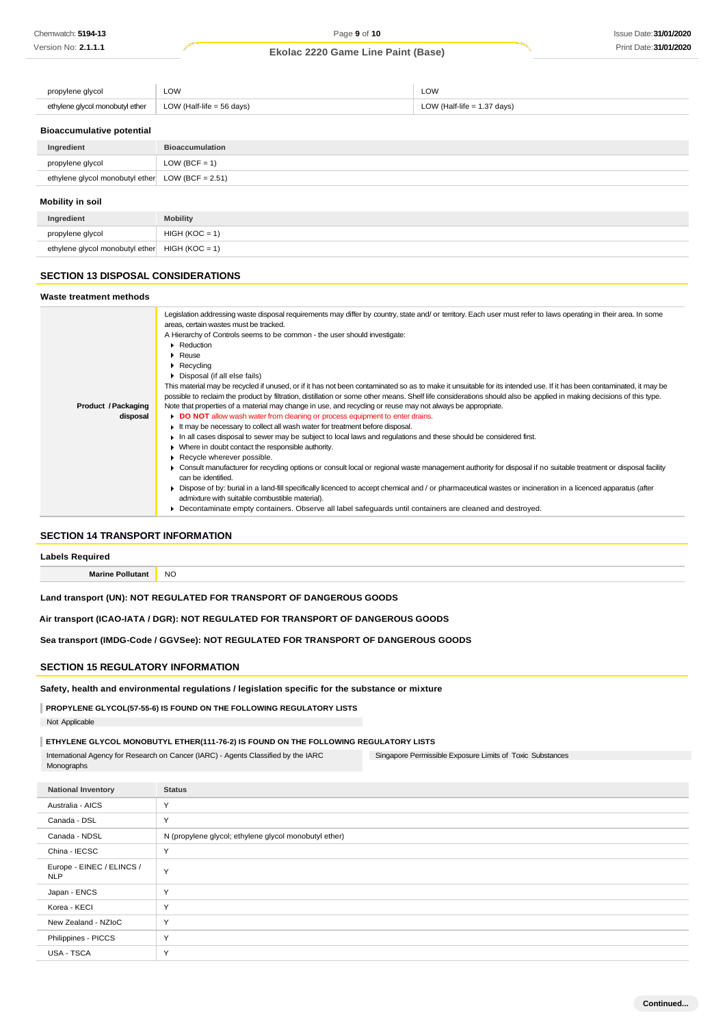| propylene glycol                | LOW                                  | LOW                           |
|---------------------------------|--------------------------------------|-------------------------------|
| ethylene glycol monobutyl ether | LOW (Half-life = $56 \text{ days}$ ) | LOW (Half-life $= 1.37$ days) |

### **Bioaccumulative potential**

| Ingredient                                          | <b>Bioaccumulation</b> |  |  |  |
|-----------------------------------------------------|------------------------|--|--|--|
| propylene glycol                                    | LOW (BCF = $1$ )       |  |  |  |
| ethylene glycol monobutyl ether LOW (BCF = $2.51$ ) |                        |  |  |  |
| Mobility in soil                                    |                        |  |  |  |
| Ingredient                                          | <b>Mobility</b>        |  |  |  |

# ethylene glycol monobutyl ether  $HIGH (KOC = 1)$ **SECTION 13 DISPOSAL CONSIDERATIONS**

propylene glycol  $\left| \right|$  HIGH (KOC = 1)

### **SECTION 14 TRANSPORT INFORMATION**

**Labels Required**

**Marine Pollutant** NO

### **Land transport (UN): NOT REGULATED FOR TRANSPORT OF DANGEROUS GOODS**

**Air transport (ICAO-IATA / DGR): NOT REGULATED FOR TRANSPORT OF DANGEROUS GOODS**

**Sea transport (IMDG-Code / GGVSee): NOT REGULATED FOR TRANSPORT OF DANGEROUS GOODS**

### **SECTION 15 REGULATORY INFORMATION**

**Safety, health and environmental regulations / legislation specific for the substance or mixture**

### **PROPYLENE GLYCOL(57-55-6) IS FOUND ON THE FOLLOWING REGULATORY LISTS**

Not Applicable

### **ETHYLENE GLYCOL MONOBUTYL ETHER(111-76-2) IS FOUND ON THE FOLLOWING REGULATORY LISTS**

Singapore Permissible Exposure Limits of Toxic Substances International Agency for Research on Cancer (IARC) - Agents Classified by the IARC Monographs

**National Inventory Status** Australia - AICS Y Canada - DSL Y Canada - NDSL N (propylene glycol; ethylene glycol monobutyl ether) China - IECSC Y Europe - EINEC / ELINCS / Y<br>NLP Japan - ENCS Y Korea - KECI Y New Zealand - NZIoC Y Philippines - PICCS Y USA - TSCA Y